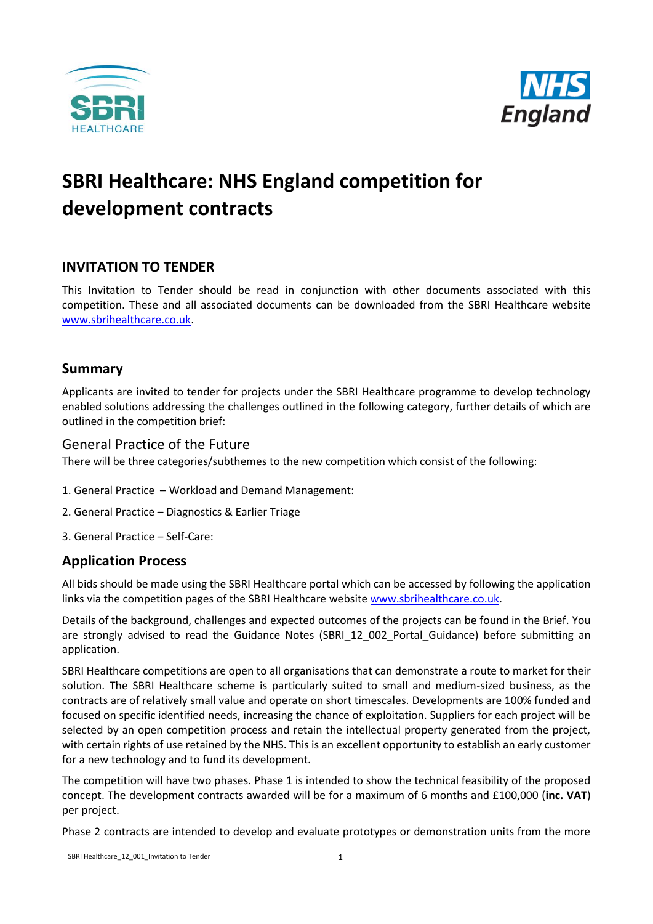



# **SBRI Healthcare: NHS England competition for development contracts**

# **INVITATION TO TENDER**

This Invitation to Tender should be read in conjunction with other documents associated with this competition. These and all associated documents can be downloaded from the SBRI Healthcare website [www.sbrihealthcare.co.uk.](http://www.sbrihealthcare.co.uk/)

## **Summary**

Applicants are invited to tender for projects under the SBRI Healthcare programme to develop technology enabled solutions addressing the challenges outlined in the following category, further details of which are outlined in the competition brief:

#### General Practice of the Future

There will be three categories/subthemes to the new competition which consist of the following:

- 1. General Practice Workload and Demand Management:
- 2. General Practice Diagnostics & Earlier Triage
- 3. General Practice Self-Care:

## **Application Process**

All bids should be made using the SBRI Healthcare portal which can be accessed by following the application links via the competition pages of the SBRI Healthcare website [www.sbrihealthcare.co.uk.](http://www.sbrihealthcare.co.uk/)

Details of the background, challenges and expected outcomes of the projects can be found in the Brief. You are strongly advised to read the Guidance Notes (SBRI 12 002 Portal Guidance) before submitting an application.

SBRI Healthcare competitions are open to all organisations that can demonstrate a route to market for their solution. The SBRI Healthcare scheme is particularly suited to small and medium-sized business, as the contracts are of relatively small value and operate on short timescales. Developments are 100% funded and focused on specific identified needs, increasing the chance of exploitation. Suppliers for each project will be selected by an open competition process and retain the intellectual property generated from the project, with certain rights of use retained by the NHS. This is an excellent opportunity to establish an early customer for a new technology and to fund its development.

The competition will have two phases. Phase 1 is intended to show the technical feasibility of the proposed concept. The development contracts awarded will be for a maximum of 6 months and £100,000 (**inc. VAT**) per project.

Phase 2 contracts are intended to develop and evaluate prototypes or demonstration units from the more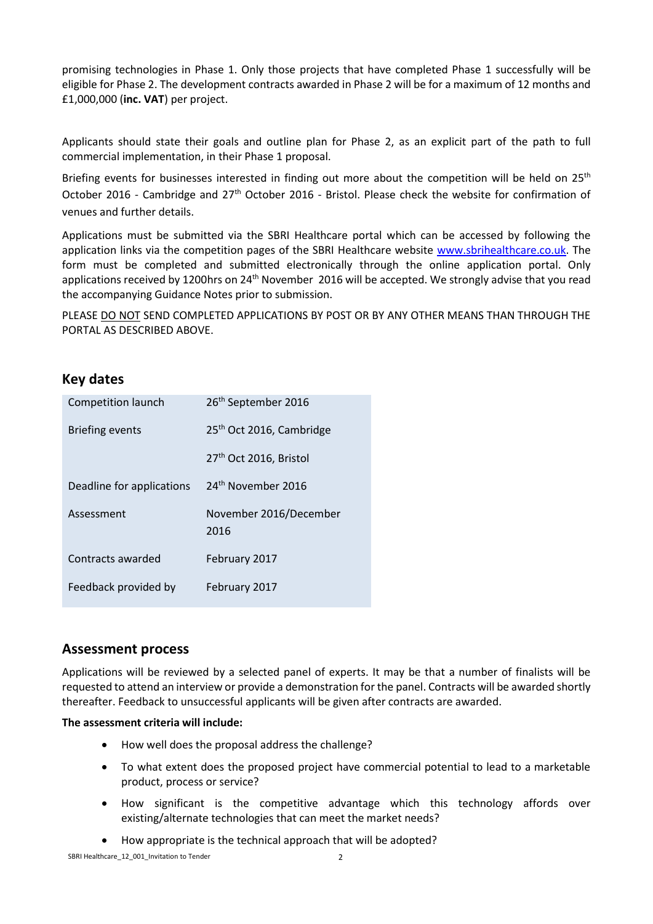promising technologies in Phase 1. Only those projects that have completed Phase 1 successfully will be eligible for Phase 2. The development contracts awarded in Phase 2 will be for a maximum of 12 months and £1,000,000 (**inc. VAT**) per project.

Applicants should state their goals and outline plan for Phase 2, as an explicit part of the path to full commercial implementation, in their Phase 1 proposal.

Briefing events for businesses interested in finding out more about the competition will be held on  $25<sup>th</sup>$ October 2016 - Cambridge and 27<sup>th</sup> October 2016 - Bristol. Please check the website for confirmation of venues and further details.

Applications must be submitted via the SBRI Healthcare portal which can be accessed by following the application links via the competition pages of the SBRI Healthcare website [www.sbrihealthcare.co.uk.](http://www.sbrihealthcare.co.uk/) The form must be completed and submitted electronically through the online application portal. Only applications received by 1200hrs on 24<sup>th</sup> November 2016 will be accepted. We strongly advise that you read the accompanying Guidance Notes prior to submission.

PLEASE DO NOT SEND COMPLETED APPLICATIONS BY POST OR BY ANY OTHER MEANS THAN THROUGH THE PORTAL AS DESCRIBED ABOVE.

## **Key dates**

| Competition launch        | 26 <sup>th</sup> September 2016      |
|---------------------------|--------------------------------------|
| <b>Briefing events</b>    | 25 <sup>th</sup> Oct 2016, Cambridge |
|                           | 27th Oct 2016, Bristol               |
| Deadline for applications | 24 <sup>th</sup> November 2016       |
|                           |                                      |
| Assessment                | November 2016/December<br>2016       |
| Contracts awarded         | February 2017                        |

## **Assessment process**

Applications will be reviewed by a selected panel of experts. It may be that a number of finalists will be requested to attend an interview or provide a demonstration for the panel. Contracts will be awarded shortly thereafter. Feedback to unsuccessful applicants will be given after contracts are awarded.

#### **The assessment criteria will include:**

- How well does the proposal address the challenge?
- To what extent does the proposed project have commercial potential to lead to a marketable product, process or service?
- How significant is the competitive advantage which this technology affords over existing/alternate technologies that can meet the market needs?
- How appropriate is the technical approach that will be adopted?